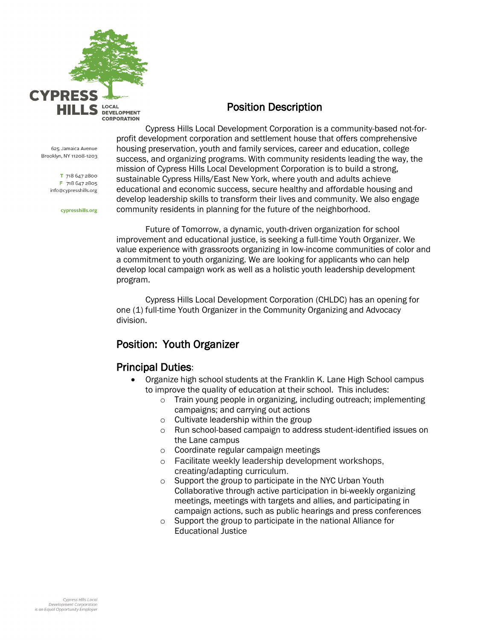

### Position Description

625 Jamaica Avenue Brooklyn, NY 11208-1203

> T 718 647 2800 F 718 647 2805 info@cypresshills.org

> > cypresshills.org

Cypress Hills Local Development Corporation is a community-based not-forprofit development corporation and settlement house that offers comprehensive housing preservation, youth and family services, career and education, college success, and organizing programs. With community residents leading the way, the mission of Cypress Hills Local Development Corporation is to build a strong, sustainable Cypress Hills/East New York, where youth and adults achieve educational and economic success, secure healthy and affordable housing and develop leadership skills to transform their lives and community. We also engage community residents in planning for the future of the neighborhood.

Future of Tomorrow, a dynamic, youth-driven organization for school improvement and educational justice, is seeking a full-time Youth Organizer. We value experience with grassroots organizing in low-income communities of color and a commitment to youth organizing. We are looking for applicants who can help develop local campaign work as well as a holistic youth leadership development program.

Cypress Hills Local Development Corporation (CHLDC) has an opening for one (1) full-time Youth Organizer in the Community Organizing and Advocacy division.

# Position: Youth Organizer

## Principal Duties:

- Organize high school students at the Franklin K. Lane High School campus to improve the quality of education at their school. This includes:
	- o Train young people in organizing, including outreach; implementing campaigns; and carrying out actions
	- o Cultivate leadership within the group
	- o Run school-based campaign to address student-identified issues on the Lane campus
	- o Coordinate regular campaign meetings
	- o Facilitate weekly leadership development workshops, creating/adapting curriculum.
	- o Support the group to participate in the NYC Urban Youth Collaborative through active participation in bi-weekly organizing meetings, meetings with targets and allies, and participating in campaign actions, such as public hearings and press conferences
	- o Support the group to participate in the national Alliance for Educational Justice